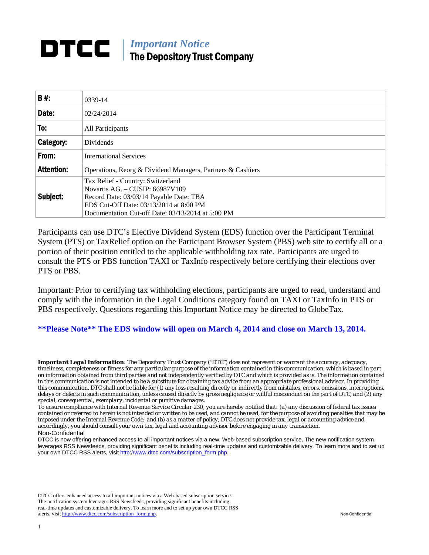## **DTCC** | *Important Notice* The Depository Trust Company

| B#:               | 0339-14                                                                                                                                                                                                         |
|-------------------|-----------------------------------------------------------------------------------------------------------------------------------------------------------------------------------------------------------------|
| Date:             | 02/24/2014                                                                                                                                                                                                      |
| To:               | All Participants                                                                                                                                                                                                |
| Category:         | <b>Dividends</b>                                                                                                                                                                                                |
| From:             | <b>International Services</b>                                                                                                                                                                                   |
| <b>Attention:</b> | Operations, Reorg & Dividend Managers, Partners & Cashiers                                                                                                                                                      |
| Subject:          | Tax Relief - Country: Switzerland<br>Novartis AG. - CUSIP: 66987V109<br>Record Date: 03/03/14 Payable Date: TBA<br>EDS Cut-Off Date: 03/13/2014 at 8:00 PM<br>Documentation Cut-off Date: 03/13/2014 at 5:00 PM |

Participants can use DTC's Elective Dividend System (EDS) function over the Participant Terminal System (PTS) or TaxRelief option on the Participant Browser System (PBS) web site to certify all or a portion of their position entitled to the applicable withholding tax rate. Participants are urged to consult the PTS or PBS function TAXI or TaxInfo respectively before certifying their elections over PTS or PBS.

Important: Prior to certifying tax withholding elections, participants are urged to read, understand and comply with the information in the Legal Conditions category found on TAXI or TaxInfo in PTS or PBS respectively. Questions regarding this Important Notice may be directed to GlobeTax.

**\*\*Please Note\*\* The EDS window will open on March 4, 2014 and close on March 13, 2014.** 

*Important Legal Information: The Depository Trust Company ("DTC") does not represent or warrant the accuracy, adequacy, timeliness, completeness or fitness for any particular purpose of the information contained in this communication, which is based in part on information obtained from third parties and not independently verified by DTC and which is provided as is. The information contained in this communication is not intended to be a substitute for obtaining tax advice from an appropriate professional advisor. In providing this communication, DTC shall not be liable for (1) any loss resulting directly or indirectly from mistakes, errors, omissions, interruptions, delays or defects in such communication, unless caused directly by gross negligence or willful misconduct on the part of DTC, and (2) any special, consequential, exemplary, incidental or punitive damages.* 

*To ensure compliance with Internal Revenue Service Circular 230, you are hereby notified that: (a) any discussion of federal tax issues contained or referred to herein is not intended or written to be used, and cannot be used, for the purpose of avoiding penalties that may be imposed under the Internal Revenue Code; and (b) as a matter of policy, DTC does not provide tax, legal or accounting advice and accordingly, you should consult your own tax, legal and accounting advisor before engaging in any transaction.* Non-Confidential

DTCC is now offering enhanced access to all important notices via a new, Web-based subscription service. The new notification system leverages RSS Newsfeeds, providing significant benefits including real-time updates and customizable delivery. To learn more and to set up your own DTCC RSS alerts, visit http://www.dtcc.com/subscription\_form.php.

DTCC offers enhanced access to all important notices via a Web-based subscription service. The notification system leverages RSS Newsfeeds, providing significant benefits including real-time updates and customizable delivery. To learn more and to set up your own DTCC RSS alerts, visit http://www.dtcc.com/subscription\_form.php. Non-Confidential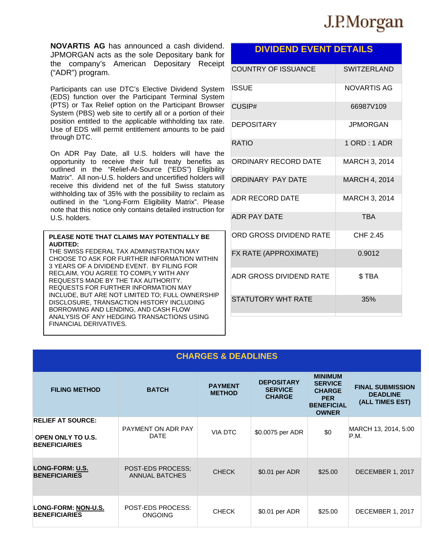# J.P.Morgan

**NOVARTIS AG** has announced a cash dividend. JPMORGAN acts as the sole Depositary bank for the company's American Depositary Receipt ("ADR") program.

Participants can use DTC's Elective Dividend System (EDS) function over the Participant Terminal System (PTS) or Tax Relief option on the Participant Browser System (PBS) web site to certify all or a portion of their position entitled to the applicable withholding tax rate. Use of EDS will permit entitlement amounts to be paid through DTC.

On ADR Pay Date, all U.S. holders will have the opportunity to receive their full treaty benefits as outlined in the "Relief-At-Source ("EDS") Eligibility Matrix". All non-U.S. holders and uncertified holders will receive this dividend net of the full Swiss statutory withholding tax of 35% with the possibility to reclaim as outlined in the "Long-Form Eligibility Matrix". Please note that this notice only contains detailed instruction for U.S. holders.

#### **PLEASE NOTE THAT CLAIMS MAY POTENTIALLY BE AUDITED:**

THE SWISS FEDERAL TAX ADMINISTRATION MAY CHOOSE TO ASK FOR FURTHER INFORMATION WITHIN 3 YEARS OF A DIVIDEND EVENT. BY FILING FOR RECLAIM, YOU AGREE TO COMPLY WITH ANY REQUESTS MADE BY THE TAX AUTHORITY. REQUESTS FOR FURTHER INFORMATION MAY INCLUDE, BUT ARE NOT LIMITED TO; FULL OWNERSHIP DISCLOSURE, TRANSACTION HISTORY INCLUDING BORROWING AND LENDING, AND CASH FLOW ANALYSIS OF ANY HEDGING TRANSACTIONS USING FINANCIAL DERIVATIVES.

### **DIVIDEND EVENT DETAILS**

| <b>COUNTRY OF ISSUANCE</b> | <b>SWITZERLAND</b> |
|----------------------------|--------------------|
| ISSUE                      | NOVARTIS AG        |
| CUSIP#                     | 66987V109          |
| <b>DEPOSITARY</b>          | <b>JPMORGAN</b>    |
| <b>RATIO</b>               | $1$ ORD : 1 ADR    |
| ORDINARY RECORD DATE       | MARCH 3, 2014      |
| <b>ORDINARY PAY DATE</b>   | MARCH 4, 2014      |
| <b>ADR RECORD DATE</b>     | MARCH 3, 2014      |
| <b>ADR PAY DATF</b>        | <b>TBA</b>         |
| ORD GROSS DIVIDEND RATE    | CHF 2.45           |
| FX RATE (APPROXIMATE)      | 0.9012             |
| ADR GROSS DIVIDEND RATE    | \$TBA              |
| STATUTORY WHT RATF         | 35%                |

| <b>CHARGES &amp; DEADLINES</b>                                               |                                            |                                 |                                                      |                                                                                                      |                                                               |  |  |
|------------------------------------------------------------------------------|--------------------------------------------|---------------------------------|------------------------------------------------------|------------------------------------------------------------------------------------------------------|---------------------------------------------------------------|--|--|
| <b>FILING METHOD</b>                                                         | <b>BATCH</b>                               | <b>PAYMENT</b><br><b>METHOD</b> | <b>DEPOSITARY</b><br><b>SERVICE</b><br><b>CHARGE</b> | <b>MINIMUM</b><br><b>SERVICE</b><br><b>CHARGE</b><br><b>PER</b><br><b>BENEFICIAL</b><br><b>OWNER</b> | <b>FINAL SUBMISSION</b><br><b>DEADLINE</b><br>(ALL TIMES EST) |  |  |
| <b>RELIEF AT SOURCE:</b><br><b>OPEN ONLY TO U.S.</b><br><b>BENEFICIARIES</b> | PAYMENT ON ADR PAY<br><b>DATE</b>          | <b>VIA DTC</b>                  | \$0.0075 per ADR                                     | \$0                                                                                                  | MARCH 13, 2014, 5:00<br>P.M.                                  |  |  |
| LONG-FORM: U.S.<br><b>BENEFICIARIES</b>                                      | POST-EDS PROCESS:<br><b>ANNUAL BATCHES</b> | <b>CHECK</b>                    | \$0.01 per ADR                                       | \$25.00                                                                                              | DECEMBER 1, 2017                                              |  |  |
| LONG-FORM: NON-U.S.<br><b>BENEFICIARIES</b>                                  | <b>POST-EDS PROCESS:</b><br><b>ONGOING</b> | <b>CHECK</b>                    | \$0.01 per ADR                                       | \$25.00                                                                                              | DECEMBER 1, 2017                                              |  |  |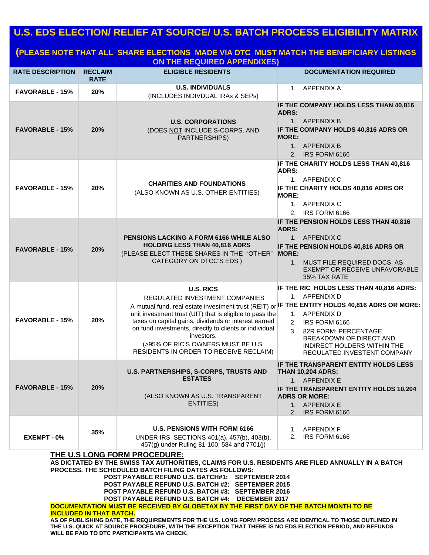## **U.S. EDS ELECTION/ RELIEF AT SOURCE/ U.S. BATCH PROCESS ELIGIBILITY MATRIX**

### **(PLEASE NOTE THAT ALL SHARE ELECTIONS MADE VIA DTC MUST MATCH THE BENEFICIARY LISTINGS ON THE REQUIRED APPENDIXES)**

| <b>RATE DESCRIPTION</b>                                                                                                                                                                                                                                                                                                                                                                                                                                                                                                                                                                                                                                                                                                                                                                                               | <b>RECLAIM</b><br><b>RATE</b> | <b>ELIGIBLE RESIDENTS</b>                                                                                                                                                                                                                                                                                                                                                                                                               | <b>DOCUMENTATION REQUIRED</b>                                                                                                                                                                                           |  |  |
|-----------------------------------------------------------------------------------------------------------------------------------------------------------------------------------------------------------------------------------------------------------------------------------------------------------------------------------------------------------------------------------------------------------------------------------------------------------------------------------------------------------------------------------------------------------------------------------------------------------------------------------------------------------------------------------------------------------------------------------------------------------------------------------------------------------------------|-------------------------------|-----------------------------------------------------------------------------------------------------------------------------------------------------------------------------------------------------------------------------------------------------------------------------------------------------------------------------------------------------------------------------------------------------------------------------------------|-------------------------------------------------------------------------------------------------------------------------------------------------------------------------------------------------------------------------|--|--|
| <b>FAVORABLE - 15%</b>                                                                                                                                                                                                                                                                                                                                                                                                                                                                                                                                                                                                                                                                                                                                                                                                | 20%                           | <b>U.S. INDIVIDUALS</b><br>(INCLUDES INDIVDUAL IRAS & SEPS)                                                                                                                                                                                                                                                                                                                                                                             | 1. APPENDIX A                                                                                                                                                                                                           |  |  |
| <b>FAVORABLE - 15%</b>                                                                                                                                                                                                                                                                                                                                                                                                                                                                                                                                                                                                                                                                                                                                                                                                | 20%                           | <b>U.S. CORPORATIONS</b><br>(DOES NOT INCLUDE S-CORPS, AND<br>PARTNERSHIPS)                                                                                                                                                                                                                                                                                                                                                             | IF THE COMPANY HOLDS LESS THAN 40,816<br><b>ADRS:</b><br>1. APPENDIX B<br>IF THE COMPANY HOLDS 40,816 ADRS OR<br><b>MORE:</b><br>1. APPENDIX B<br>2. IRS FORM 6166                                                      |  |  |
| <b>FAVORABLE - 15%</b>                                                                                                                                                                                                                                                                                                                                                                                                                                                                                                                                                                                                                                                                                                                                                                                                | 20%                           | <b>CHARITIES AND FOUNDATIONS</b><br>(ALSO KNOWN AS U.S. OTHER ENTITIES)                                                                                                                                                                                                                                                                                                                                                                 | IF THE CHARITY HOLDS LESS THAN 40,816<br><b>ADRS:</b><br>1. APPENDIX C<br>IF THE CHARITY HOLDS 40,816 ADRS OR<br><b>MORE:</b><br>1. APPENDIX C<br>2. IRS FORM 6166                                                      |  |  |
| <b>FAVORABLE - 15%</b>                                                                                                                                                                                                                                                                                                                                                                                                                                                                                                                                                                                                                                                                                                                                                                                                | 20%                           | <b>PENSIONS LACKING A FORM 6166 WHILE ALSO</b><br><b>HOLDING LESS THAN 40,816 ADRS</b><br>(PLEASE ELECT THESE SHARES IN THE "OTHER"<br>CATEGORY ON DTCC'S EDS )                                                                                                                                                                                                                                                                         | IF THE PENSION HOLDS LESS THAN 40,816<br><b>ADRS:</b><br>1. APPENDIX C<br>IF THE PENSION HOLDS 40,816 ADRS OR<br><b>MORE:</b><br>1. MUST FILE REQUIRED DOCS AS<br>EXEMPT OR RECEIVE UNFAVORABLE<br>35% TAX RATE         |  |  |
| <b>FAVORABLE - 15%</b>                                                                                                                                                                                                                                                                                                                                                                                                                                                                                                                                                                                                                                                                                                                                                                                                | 20%                           | <b>U.S. RICS</b><br><b>REGULATED INVESTMENT COMPANIES</b><br>A mutual fund, real estate investment trust (REIT) or IF THE ENTITY HOLDS 40,816 ADRS OR MORE:<br>unit investment trust (UIT) that is eligible to pass the<br>taxes on capital gains, dividends or interest earned<br>on fund investments, directly to clients or individual<br>investors.<br>(>95% OF RIC'S OWNERS MUST BE U.S.<br>RESIDENTS IN ORDER TO RECEIVE RECLAIM) | IF THE RIC HOLDS LESS THAN 40,816 ADRS:<br>1. APPENDIX D<br>1. APPENDIX D<br>IRS FORM 6166<br>2.<br>82R FORM: PERCENTAGE<br>3.<br>BREAKDOWN OF DIRECT AND<br>INDIRECT HOLDERS WITHIN THE<br>REGULATED INVESTENT COMPANY |  |  |
| <b>FAVORABLE - 15%</b>                                                                                                                                                                                                                                                                                                                                                                                                                                                                                                                                                                                                                                                                                                                                                                                                | 20%                           | U.S. PARTNERSHIPS, S-CORPS, TRUSTS AND<br><b>ESTATES</b><br>(ALSO KNOWN AS U.S. TRANSPARENT<br>ENTITIES)                                                                                                                                                                                                                                                                                                                                | IF THE TRANSPARENT ENTITY HOLDS LESS<br><b>THAN 10,204 ADRS:</b><br>1. APPENDIX E<br>IF THE TRANSPARENT ENTITY HOLDS 10,204<br><b>ADRS OR MORE:</b><br>1. APPENDIX E<br>2. IRS FORM 6166                                |  |  |
| EXEMPT - 0%                                                                                                                                                                                                                                                                                                                                                                                                                                                                                                                                                                                                                                                                                                                                                                                                           | 35%                           | <b>U.S. PENSIONS WITH FORM 6166</b><br>UNDER IRS SECTIONS 401(a), 457(b), 403(b),<br>457(g) under Ruling 81-100, 584 and 7701(j)                                                                                                                                                                                                                                                                                                        | 1. APPENDIX F<br>2. IRS FORM 6166                                                                                                                                                                                       |  |  |
| <b>THE U.S LONG FORM PROCEDURE:</b><br>AS DICTATED BY THE SWISS TAX AUTHORITIES, CLAIMS FOR U.S. RESIDENTS ARE FILED ANNUALLY IN A BATCH<br>PROCESS. THE SCHEDULED BATCH FILING DATES AS FOLLOWS:<br>POST PAYABLE REFUND U.S. BATCH#1: SEPTEMBER 2014<br>POST PAYABLE REFUND U.S. BATCH #2: SEPTEMBER 2015<br>POST PAYABLE REFUND U.S. BATCH #3: SEPTEMBER 2016<br>POST PAYABLE REFUND U.S. BATCH #4: DECEMBER 2017<br>DOCUMENTATION MUST BE RECEIVED BY GLOBETAX BY THE FIRST DAY OF THE BATCH MONTH TO BE<br><b>INCLUDED IN THAT BATCH.</b><br>AS OF PUBLISHING DATE, THE REQUIREMENTS FOR THE U.S. LONG FORM PROCESS ARE IDENTICAL TO THOSE OUTLINED IN<br>THE U.S. QUICK AT SOURCE PROCEDURE, WITH THE EXCEPTION THAT THERE IS NO EDS ELECTION PERIOD, AND REFUNDS<br>WILL BE PAID TO DTC PARTICIPANTS VIA CHECK. |                               |                                                                                                                                                                                                                                                                                                                                                                                                                                         |                                                                                                                                                                                                                         |  |  |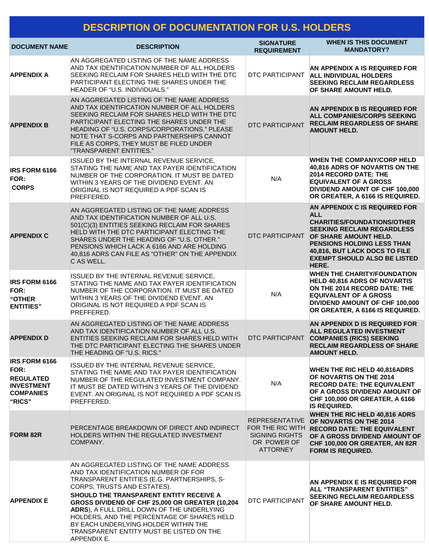## **DESCRIPTION OF DOCUMENTATION FOR U.S. HOLDERS**

| <b>DOCUMENT NAME</b>                                                                                       | <b>DESCRIPTION</b>                                                                                                                                                                                                                                                                                                                                                                                                                                           | <b>SIGNATURE</b><br><b>REQUIREMENT</b>                                                               | <b>WHEN IS THIS DOCUMENT</b><br><b>MANDATORY?</b>                                                                                                                                                                                                                              |
|------------------------------------------------------------------------------------------------------------|--------------------------------------------------------------------------------------------------------------------------------------------------------------------------------------------------------------------------------------------------------------------------------------------------------------------------------------------------------------------------------------------------------------------------------------------------------------|------------------------------------------------------------------------------------------------------|--------------------------------------------------------------------------------------------------------------------------------------------------------------------------------------------------------------------------------------------------------------------------------|
| <b>APPENDIX A</b>                                                                                          | AN AGGREGATED LISTING OF THE NAME ADDRESS<br>AND TAX IDENTIFICATION NUMBER OF ALL HOLDERS<br>SEEKING RECLAIM FOR SHARES HELD WITH THE DTC<br>PARTICIPANT ELECTING THE SHARES UNDER THE<br>HEADER OF "U.S. INDIVIDUALS."                                                                                                                                                                                                                                      | DTC PARTICIPANT                                                                                      | AN APPENDIX A IS REQUIRED FOR<br><b>ALL INDIVIDUAL HOLDERS</b><br><b>SEEKING RECLAIM REGARDLESS</b><br>OF SHARE AMOUNT HELD.                                                                                                                                                   |
| <b>APPENDIX B</b>                                                                                          | AN AGGREGATED LISTING OF THE NAME ADDRESS<br>AND TAX IDENTIFICATION NUMBER OF ALL HOLDERS<br>SEEKING RECLAIM FOR SHARES HELD WITH THE DTC<br>PARTICIPANT ELECTING THE SHARES UNDER THE<br>HEADING OF "U.S. CORPS/CORPORATIONS." PLEASE<br>NOTE THAT S-CORPS AND PARTNERSHIPS CANNOT<br>FILE AS CORPS, THEY MUST BE FILED UNDER<br>"TRANSPARENT ENTITIES."                                                                                                    | <b>DTC PARTICIPANT</b>                                                                               | AN APPENDIX B IS REQUIRED FOR<br>ALL COMPANIES/CORPS SEEKING<br><b>RECLAIM REGARDLESS OF SHARE</b><br><b>AMOUNT HELD.</b>                                                                                                                                                      |
| <b>IRS FORM 6166</b><br>FOR:<br><b>CORPS</b>                                                               | ISSUED BY THE INTERNAL REVENUE SERVICE,<br>STATING THE NAME AND TAX PAYER IDENTIFICATION<br>NUMBER OF THE CORPORATION. IT MUST BE DATED<br>WITHIN 3 YEARS OF THE DIVIDEND EVENT. AN<br>ORIGINAL IS NOT REQUIRED A PDF SCAN IS<br>PREFFERED.                                                                                                                                                                                                                  | N/A                                                                                                  | <b>WHEN THE COMPANY/CORP HELD</b><br>40,816 ADRS OF NOVARTIS ON THE<br>2014 RECORD DATE: THE<br><b>EQUIVALENT OF A GROSS</b><br><b>DIVIDEND AMOUNT OF CHF 100,000</b><br>OR GREATER, A 6166 IS REQUIRED.                                                                       |
| <b>APPENDIX C</b>                                                                                          | AN AGGREGATED LISTING OF THE NAME ADDRESS<br>AND TAX IDENTIFICATION NUMBER OF ALL U.S.<br>501(C)(3) ENTITIES SEEKING RECLAIM FOR SHARES<br>HELD WITH THE DTC PARTICIPANT ELECTING THE<br>SHARES UNDER THE HEADING OF "U.S. OTHER."<br>PENSIONS WHICH LACK A 6166 AND ARE HOLDING<br>40,816 ADRS CAN FILE AS "OTHER" ON THE APPENDIX<br>C AS WELL.                                                                                                            |                                                                                                      | AN APPENDIX C IS REQUIRED FOR<br><b>ALL</b><br><b>CHARITIES/FOUNDATIONS/OTHER</b><br><b>SEEKING RECLAIM REGARDLESS</b><br>DTC PARTICIPANT OF SHARE AMOUNT HELD.<br>PENSIONS HOLDING LESS THAN<br>40,816, BUT LACK DOCS TO FILE<br><b>EXEMPT SHOULD ALSO BE LISTED</b><br>HERE. |
| <b>IRS FORM 6166</b><br>FOR:<br>"OTHER<br><b>ENTITIES</b> "                                                | ISSUED BY THE INTERNAL REVENUE SERVICE,<br>STATING THE NAME AND TAX PAYER IDENTIFICATION<br>NUMBER OF THE CORPORATION. IT MUST BE DATED<br>WITHIN 3 YEARS OF THE DIVIDEND EVENT. AN<br>ORIGINAL IS NOT REQUIRED A PDF SCAN IS<br>PREFFERED.                                                                                                                                                                                                                  | N/A                                                                                                  | <b>WHEN THE CHARITY/FOUNDATION</b><br>HELD 40,816 ADRS OF NOVARTIS<br>ON THE 2014 RECORD DATE: THE<br><b>EQUIVALENT OF A GROSS</b><br><b>DIVIDEND AMOUNT OF CHF 100,000</b><br>OR GREATER, A 6166 IS REQUIRED.                                                                 |
| <b>APPENDIX D</b>                                                                                          | AN AGGREGATED LISTING OF THE NAME ADDRESS<br>AND TAX IDENTIFICATION NUMBER OF ALL U.S.<br>ENTITIES SEEKING RECLAIM FOR SHARES HELD WITH<br>THE DTC PARTICIPANT ELECTING THE SHARES UNDER<br>THE HEADING OF "U.S. RICS."                                                                                                                                                                                                                                      | DTC PARTICIPANT                                                                                      | AN APPENDIX D IS REQUIRED FOR<br><b>ALL REGULATED INVESTMENT</b><br><b>COMPANIES (RICS) SEEKING</b><br><b>RECLAIM REGARDLESS OF SHARE</b><br><b>AMOUNT HELD.</b>                                                                                                               |
| <b>IRS FORM 6166</b><br><b>FOR:</b><br><b>REGULATED</b><br><b>INVESTMENT</b><br><b>COMPANIES</b><br>"RICS" | ISSUED BY THE INTERNAL REVENUE SERVICE,<br>STATING THE NAME AND TAX PAYER IDENTIFICATION<br>NUMBER OF THE REGULATED INVESTMENT COMPANY.<br>IT MUST BE DATED WITHIN 3 YEARS OF THE DIVIDEND<br>EVENT. AN ORIGINAL IS NOT REQUIRED A PDF SCAN IS<br>PREFFERED.                                                                                                                                                                                                 | N/A                                                                                                  | <b>WHEN THE RIC HELD 40,816ADRS</b><br>OF NOVARTIS ON THE 2014<br><b>RECORD DATE: THE EQUIVALENT</b><br>OF A GROSS DIVIDEND AMOUNT OF<br>CHF 100,000 OR GREATER, A 6166<br><b>IS REQUIRED.</b>                                                                                 |
| <b>FORM 82R</b>                                                                                            | PERCENTAGE BREAKDOWN OF DIRECT AND INDIRECT<br>HOLDERS WITHIN THE REGULATED INVESTMENT<br>COMPANY.                                                                                                                                                                                                                                                                                                                                                           | <b>REPRESENTATIVE</b><br>FOR THE RIC WITH<br><b>SIGNING RIGHTS</b><br>OR POWER OF<br><b>ATTORNEY</b> | WHEN THE RIC HELD 40,816 ADRS<br>OF NOVARTIS ON THE 2014<br><b>RECORD DATE: THE EQUIVALENT</b><br>OF A GROSS DIVIDEND AMOUNT OF<br>CHF 100,000 OR GREATER, AN 82R<br><b>FORM IS REQUIRED.</b>                                                                                  |
| <b>APPENDIX E</b>                                                                                          | AN AGGREGATED LISTING OF THE NAME ADDRESS<br>AND TAX IDENTIFICATION NUMBER OF FOR<br>TRANSPARENT ENTITIES (E.G. PARTNERSHIPS, S-<br>CORPS, TRUSTS AND ESTATES).<br>SHOULD THE TRANSPARENT ENTITY RECEIVE A<br>GROSS DIVIDEND OF CHF 25,000 OR GREATER (10,204<br>ADRS), A FULL DRILL DOWN OF THE UNDERLYING<br>HOLDERS, AND THE PERCENTAGE OF SHARES HELD<br>BY EACH UNDERLYING HOLDER WITHIN THE<br>TRANSPARENT ENTITY MUST BE LISTED ON THE<br>APPENDIX E. | DTC PARTICIPANT                                                                                      | AN APPENDIX E IS REQUIRED FOR<br>ALL "TRANSPARENT ENTITIES"<br><b>SEEKING RECLAIM REGARDLESS</b><br>OF SHARE AMOUNT HELD.                                                                                                                                                      |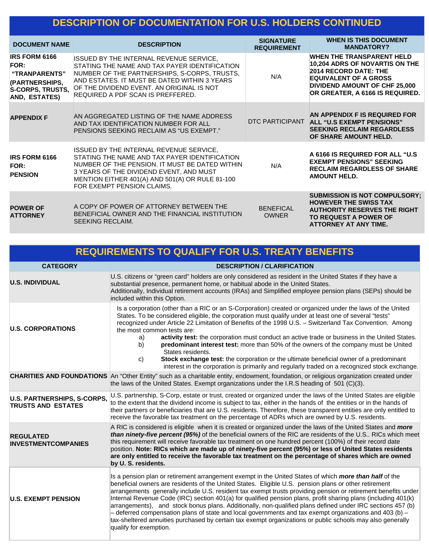## **DESCRIPTION OF DOCUMENTATION FOR U.S. HOLDERS CONTINUED**

| <b>DOCUMENT NAME</b>                                                                                               | <b>DESCRIPTION</b>                                                                                                                                                                                                                                                         | <b>SIGNATURE</b><br><b>REQUIREMENT</b> | <b>WHEN IS THIS DOCUMENT</b><br><b>MANDATORY?</b>                                                                                                                                                      |
|--------------------------------------------------------------------------------------------------------------------|----------------------------------------------------------------------------------------------------------------------------------------------------------------------------------------------------------------------------------------------------------------------------|----------------------------------------|--------------------------------------------------------------------------------------------------------------------------------------------------------------------------------------------------------|
| <b>IRS FORM 6166</b><br>FOR:<br>"TRANPARENTS"<br>(PARTNERSHIPS,<br><b>S-CORPS, TRUSTS,</b><br><b>AND, ESTATES)</b> | ISSUED BY THE INTERNAL REVENUE SERVICE,<br>STATING THE NAME AND TAX PAYER IDENTIFICATION<br>NUMBER OF THE PARTNERSHIPS, S-CORPS, TRUSTS,<br>AND ESTATES. IT MUST BE DATED WITHIN 3 YEARS<br>OF THE DIVIDEND EVENT. AN ORIGINAL IS NOT<br>REQUIRED A PDF SCAN IS PREFFERED. | N/A                                    | <b>WHEN THE TRANSPARENT HELD</b><br>10,204 ADRS OF NOVARTIS ON THE<br>2014 RECORD DATE: THE<br><b>EQUIVALENT OF A GROSS</b><br><b>DIVIDEND AMOUNT OF CHF 25,000</b><br>OR GREATER, A 6166 IS REQUIRED. |
| <b>APPENDIX F</b>                                                                                                  | AN AGGREGATED LISTING OF THE NAME ADDRESS<br>AND TAX IDENTIFICATION NUMBER FOR ALL<br>PENSIONS SEEKING RECLAIM AS "US EXEMPT."                                                                                                                                             |                                        | AN APPENDIX F IS REQUIRED FOR<br>DTC PARTICIPANT ALL "U.S EXEMPT PENSIONS"<br><b>SEEKING RECLAIM REGARDLESS</b><br>OF SHARE AMOUNT HELD.                                                               |
| <b>IRS FORM 6166</b><br>FOR:<br><b>PENSION</b>                                                                     | ISSUED BY THE INTERNAL REVENUE SERVICE.<br>STATING THE NAME AND TAX PAYER IDENTIFICATION<br>NUMBER OF THE PENSION. IT MUST BE DATED WITHIN<br>3 YEARS OF THE DIVIDEND EVENT, AND MUST<br>MENTION EITHER 401(A) AND 501(A) OR RULE 81-100<br>FOR EXEMPT PENSION CLAIMS.     | N/A                                    | A 6166 IS REQUIRED FOR ALL "U.S.<br><b>EXEMPT PENSIONS" SEEKING</b><br><b>RECLAIM REGARDLESS OF SHARE</b><br><b>AMOUNT HELD.</b>                                                                       |
| <b>POWER OF</b><br><b>ATTORNEY</b>                                                                                 | A COPY OF POWER OF ATTORNEY BETWEEN THE<br>BENEFICIAL OWNER AND THE FINANCIAL INSTITUTION<br>SEEKING RECLAIM.                                                                                                                                                              | <b>BENEFICAL</b><br><b>OWNER</b>       | <b>SUBMISSION IS NOT COMPULSORY:</b><br><b>HOWEVER THE SWISS TAX</b><br><b>AUTHORITY RESERVES THE RIGHT</b><br>TO REQUEST A POWER OF<br><b>ATTORNEY AT ANY TIME.</b>                                   |

|                                                          | <b>REQUIREMENTS TO QUALIFY FOR U.S. TREATY BENEFITS</b>                                                                                                                                                                                                                                                                                                                                                                                                                                                                                                                                                                                                                                                                                                                                                             |
|----------------------------------------------------------|---------------------------------------------------------------------------------------------------------------------------------------------------------------------------------------------------------------------------------------------------------------------------------------------------------------------------------------------------------------------------------------------------------------------------------------------------------------------------------------------------------------------------------------------------------------------------------------------------------------------------------------------------------------------------------------------------------------------------------------------------------------------------------------------------------------------|
| <b>CATEGORY</b>                                          | <b>DESCRIPTION / CLARIFICATION</b>                                                                                                                                                                                                                                                                                                                                                                                                                                                                                                                                                                                                                                                                                                                                                                                  |
| <b>U.S. INDIVIDUAL</b>                                   | U.S. citizens or "green card" holders are only considered as resident in the United States if they have a<br>substantial presence, permanent home, or habitual abode in the United States.<br>Additionally, Individual retirement accounts (IRAs) and Simplified employee pension plans (SEPs) should be<br>included within this Option.                                                                                                                                                                                                                                                                                                                                                                                                                                                                            |
| <b>U.S. CORPORATIONS</b>                                 | Is a corporation (other than a RIC or an S-Corporation) created or organized under the laws of the United<br>States. To be considered eligible, the corporation must qualify under at least one of several "tests"<br>recognized under Article 22 Limitation of Benefits of the 1998 U.S. - Switzerland Tax Convention. Among<br>the most common tests are:<br>activity test: the corporation must conduct an active trade or business in the United States.<br>a)<br>predominant interest test: more than 50% of the owners of the company must be United<br>b)<br>States residents.<br>Stock exchange test: the corporation or the ultimate beneficial owner of a predominant<br>C)<br>interest in the corporation is primarily and regularly traded on a recognized stock exchange.                              |
|                                                          | <b>CHARITIES AND FOUNDATIONS</b> An "Other Entity" such as a charitable entity, endowment, foundation, or religious organization created under<br>the laws of the United States. Exempt organizations under the I.R.S heading of 501 (C)(3).                                                                                                                                                                                                                                                                                                                                                                                                                                                                                                                                                                        |
| U.S. PARTNERSHIPS, S-CORPS,<br><b>TRUSTS AND ESTATES</b> | U.S. partnership, S-Corp, estate or trust, created or organized under the laws of the United States are eligible<br>to the extent that the dividend income is subject to tax, either in the hands of the entities or in the hands of<br>their partners or beneficiaries that are U.S. residents. Therefore, these transparent entities are only entitled to<br>receive the favorable tax treatment on the percentage of ADRs which are owned by U.S. residents.                                                                                                                                                                                                                                                                                                                                                     |
| <b>REGULATED</b><br><b>INVESTMENTCOMPANIES</b>           | A RIC is considered is eligible when it is created or organized under the laws of the United States and more<br>than ninety-five percent (95%) of the beneficial owners of the RIC are residents of the U.S RICs which meet<br>this requirement will receive favorable tax treatment on one hundred percent (100%) of their record date<br>position. Note: RICs which are made up of ninety-five percent (95%) or less of United States residents<br>are only entitled to receive the favorable tax treatment on the percentage of shares which are owned<br>by U. S. residents.                                                                                                                                                                                                                                    |
| <b>U.S. EXEMPT PENSION</b>                               | Is a pension plan or retirement arrangement exempt in the United States of which more than half of the<br>beneficial owners are residents of the United States. Eligible U.S. pension plans or other retirement<br>arrangements generally include U.S. resident tax exempt trusts providing pension or retirement benefits under<br>Internal Revenue Code (IRC) section 401(a) for qualified pension plans, profit sharing plans (including 401(k)<br>arrangements), and stock bonus plans. Additionally, non-qualified plans defined under IRC sections 457 (b)<br>- deferred compensation plans of state and local governments and tax exempt organizations and 403 (b) -<br>tax-sheltered annuities purchased by certain tax exempt organizations or public schools may also generally<br>qualify for exemption. |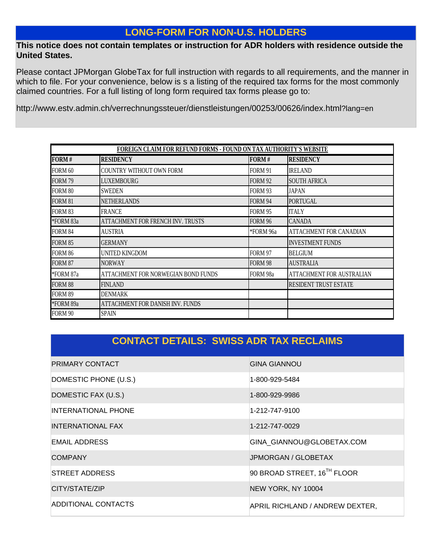## **LONG-FORM FOR NON-U.S. HOLDERS**

### **This notice does not contain templates or instruction for ADR holders with residence outside the United States.**

Please contact JPMorgan GlobeTax for full instruction with regards to all requirements, and the manner in which to file. For your convenience, below is s a listing of the required tax forms for the most commonly claimed countries. For a full listing of long form required tax forms please go to:

http://www.estv.admin.ch/verrechnungssteuer/dienstleistungen/00253/00626/index.html?lang=en

| <b>FOREIGN CLAIM FOR REFUND FORMS - FOUND ON TAX AUTHORITY'S WEBSITE</b> |                                     |                |                              |  |  |
|--------------------------------------------------------------------------|-------------------------------------|----------------|------------------------------|--|--|
| FORM#                                                                    | <b>RESIDENCY</b>                    | FORM#          | <b>RESIDENCY</b>             |  |  |
| <b>FORM 60</b>                                                           | <b>COUNTRY WITHOUT OWN FORM</b>     | <b>FORM 91</b> | <b>IRELAND</b>               |  |  |
| <b>FORM 79</b>                                                           | <b>LUXEMBOURG</b>                   | <b>FORM 92</b> | <b>SOUTH AFRICA</b>          |  |  |
| FORM 80                                                                  | <b>SWEDEN</b>                       | <b>FORM 93</b> | <b>JAPAN</b>                 |  |  |
| <b>FORM 81</b>                                                           | <b>NETHERLANDS</b>                  | <b>FORM 94</b> | <b>PORTUGAL</b>              |  |  |
| FORM 83                                                                  | <b>FRANCE</b>                       | FORM 95        | <b>ITALY</b>                 |  |  |
| *FORM 83a                                                                | ATTACHMENT FOR FRENCH INV. TRUSTS   | FORM 96        | <b>CANADA</b>                |  |  |
| <b>FORM 84</b>                                                           | <b>AUSTRIA</b>                      | *FORM 96a      | ATTACHMENT FOR CANADIAN      |  |  |
| <b>FORM 85</b>                                                           | <b>GERMANY</b>                      |                | <b>INVESTMENT FUNDS</b>      |  |  |
| FORM 86                                                                  | UNITED KINGDOM                      | <b>FORM 97</b> | <b>BELGIUM</b>               |  |  |
| <b>FORM 87</b>                                                           | <b>NORWAY</b>                       | <b>FORM 98</b> | <b>AUSTRALIA</b>             |  |  |
| *FORM 87a                                                                | ATTACHMENT FOR NORWEGIAN BOND FUNDS | FORM 98a       | ATTACHMENT FOR AUSTRALIAN    |  |  |
| <b>FORM 88</b>                                                           | <b>FINLAND</b>                      |                | <b>RESIDENT TRUST ESTATE</b> |  |  |
| <b>FORM 89</b>                                                           | <b>DENMARK</b>                      |                |                              |  |  |
| *FORM 89a                                                                | ATTACHMENT FOR DANISH INV. FUNDS    |                |                              |  |  |
| FORM 90                                                                  | <b>SPAIN</b>                        |                |                              |  |  |

## **CONTACT DETAILS: SWISS ADR TAX RECLAIMS**

| <b>PRIMARY CONTACT</b> | <b>GINA GIANNOU</b>             |
|------------------------|---------------------------------|
| DOMESTIC PHONE (U.S.)  | 1-800-929-5484                  |
| DOMESTIC FAX (U.S.)    | 1-800-929-9986                  |
| INTERNATIONAL PHONE    | 1-212-747-9100                  |
| INTERNATIONAL FAX      | 1-212-747-0029                  |
| EMAIL ADDRESS          | GINA GIANNOU@GLOBETAX.COM       |
| <b>COMPANY</b>         | JPMORGAN / GLOBETAX             |
| STREET ADDRESS         | 90 BROAD STREET, 16TH FLOOR     |
| CITY/STATE/ZIP         | NEW YORK, NY 10004              |
| ADDITIONAL CONTACTS    | APRIL RICHLAND / ANDREW DEXTER, |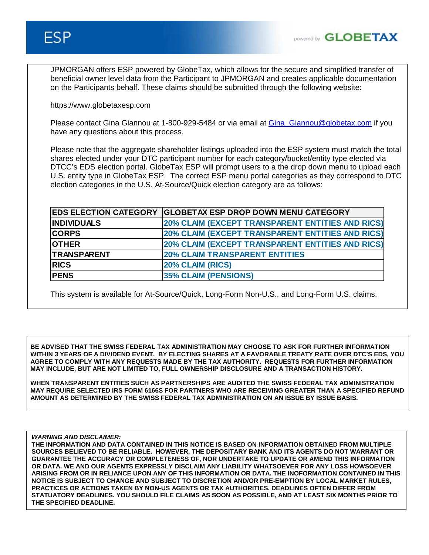JPMORGAN offers ESP powered by GlobeTax, which allows for the secure and simplified transfer of beneficial owner level data from the Participant to JPMORGAN and creates applicable documentation on the Participants behalf. These claims should be submitted through the following website:

https://www.globetaxesp.com

Please contact Gina Giannou at 1-800-929-5484 or via email at Gina Giannou@globetax.com if you have any questions about this process.

Please note that the aggregate shareholder listings uploaded into the ESP system must match the total shares elected under your DTC participant number for each category/bucket/entity type elected via DTCC's EDS election portal. GlobeTax ESP will prompt users to a the drop down menu to upload each U.S. entity type in GlobeTax ESP. The correct ESP menu portal categories as they correspond to DTC election categories in the U.S. At-Source/Quick election category are as follows:

|                    | EDS ELECTION CATEGORY GLOBETAX ESP DROP DOWN MENU CATEGORY |
|--------------------|------------------------------------------------------------|
| <b>INDIVIDUALS</b> | 20% CLAIM (EXCEPT TRANSPARENT ENTITIES AND RICS)           |
| <b>CORPS</b>       | 20% CLAIM (EXCEPT TRANSPARENT ENTITIES AND RICS)           |
| <b>OTHER</b>       | <b>20% CLAIM (EXCEPT TRANSPARENT ENTITIES AND RICS)</b>    |
| <b>TRANSPARENT</b> | <b>20% CLAIM TRANSPARENT ENTITIES</b>                      |
| <b>RICS</b>        | 20% CLAIM (RICS)                                           |
| <b>PENS</b>        | <b>35% CLAIM (PENSIONS)</b>                                |

This system is available for At-Source/Quick, Long-Form Non-U.S., and Long-Form U.S. claims.

**BE ADVISED THAT THE SWISS FEDERAL TAX ADMINISTRATION MAY CHOOSE TO ASK FOR FURTHER INFORMATION WITHIN 3 YEARS OF A DIVIDEND EVENT. BY ELECTING SHARES AT A FAVORABLE TREATY RATE OVER DTC'S EDS, YOU AGREE TO COMPLY WITH ANY REQUESTS MADE BY THE TAX AUTHORITY. REQUESTS FOR FURTHER INFORMATION MAY INCLUDE, BUT ARE NOT LIMITED TO, FULL OWNERSHIP DISCLOSURE AND A TRANSACTION HISTORY.** 

**WHEN TRANSPARENT ENTITIES SUCH AS PARTNERSHIPS ARE AUDITED THE SWISS FEDERAL TAX ADMINISTRATION MAY REQUIRE SELECTED IRS FORM 6166S FOR PARTNERS WHO ARE RECEIVING GREATER THAN A SPECIFIED REFUND AMOUNT AS DETERMINED BY THE SWISS FEDERAL TAX ADMINISTRATION ON AN ISSUE BY ISSUE BASIS.** 

*WARNING AND DISCLAIMER:*

**THE INFORMATION AND DATA CONTAINED IN THIS NOTICE IS BASED ON INFORMATION OBTAINED FROM MULTIPLE SOURCES BELIEVED TO BE RELIABLE. HOWEVER, THE DEPOSITARY BANK AND ITS AGENTS DO NOT WARRANT OR GUARANTEE THE ACCURACY OR COMPLETENESS OF, NOR UNDERTAKE TO UPDATE OR AMEND THIS INFORMATION OR DATA. WE AND OUR AGENTS EXPRESSLY DISCLAIM ANY LIABILITY WHATSOEVER FOR ANY LOSS HOWSOEVER ARISING FROM OR IN RELIANCE UPON ANY OF THIS INFORMATION OR DATA. THE INOFORMATION CONTAINED IN THIS NOTICE IS SUBJECT TO CHANGE AND SUBJECT TO DISCRETION AND/OR PRE-EMPTION BY LOCAL MARKET RULES, PRACTICES OR ACTIONS TAKEN BY NON-US AGENTS OR TAX AUTHORITIES. DEADLINES OFTEN DIFFER FROM STATUATORY DEADLINES. YOU SHOULD FILE CLAIMS AS SOON AS POSSIBLE, AND AT LEAST SIX MONTHS PRIOR TO THE SPECIFIED DEADLINE.**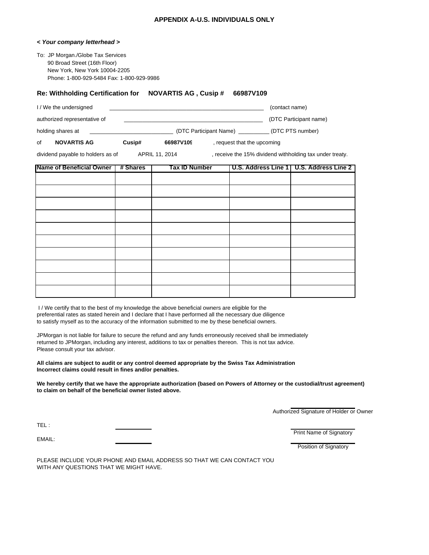#### **APPENDIX A-U.S. INDIVIDUALS ONLY**

#### *< Your company letterhead >*

To: JP Morgan./Globe Tax Services 90 Broad Street (16th Floor) New York, New York 10004-2205 Phone: 1-800-929-5484 Fax: 1-800-929-9986

#### **Re: Withholding Certification for NOVARTIS AG , Cusip # 66987V109**

| I/We the undersigned         |                        | (contact name)         |
|------------------------------|------------------------|------------------------|
| authorized representative of |                        | (DTC Participant name) |
| holding shares at            | (DTC Participant Name) | (DTC PTS number)       |

of **NOVARTIS AG Cusip#** 66987V109 criming sequest that the upcoming

dividend payable to holders as of **APRIL 11, 2014** , receive the 15% dividend withholding tax under treaty.

| Name of Beneficial Owner   # Shares | <b>Tax ID Number</b> | U.S. Address Line 1   U.S. Address Line 2 |
|-------------------------------------|----------------------|-------------------------------------------|
|                                     |                      |                                           |
|                                     |                      |                                           |
|                                     |                      |                                           |
|                                     |                      |                                           |
|                                     |                      |                                           |
|                                     |                      |                                           |
|                                     |                      |                                           |
|                                     |                      |                                           |
|                                     |                      |                                           |
|                                     |                      |                                           |

I / We certify that to the best of my knowledge the above beneficial owners are eligible for the preferential rates as stated herein and I declare that I have performed all the necessary due diligence to satisfy myself as to the accuracy of the information submitted to me by these beneficial owners.

JPMorgan is not liable for failure to secure the refund and any funds erroneously received shall be immediately returned to JPMorgan, including any interest, additions to tax or penalties thereon. This is not tax advice. Please consult your tax advisor.

#### **All claims are subject to audit or any control deemed appropriate by the Swiss Tax Administration Incorrect claims could result in fines and/or penalties.**

**We hereby certify that we have the appropriate authorization (based on Powers of Attorney or the custodial/trust agreement) to claim on behalf of the beneficial owner listed above.**

Authorized Signature of Holder or Owner

TEL : EMAIL:

Print Name of Signatory

Position of Signatory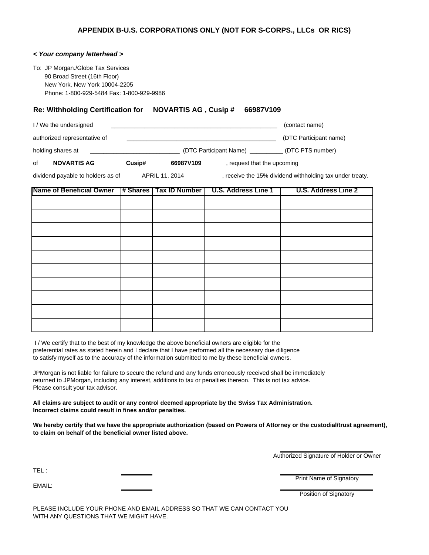#### *< Your company letterhead >*

To: JP Morgan./Globe Tax Services 90 Broad Street (16th Floor) New York, New York 10004-2205 Phone: 1-800-929-5484 Fax: 1-800-929-9986

#### **Re: Withholding Certification for NOVARTIS AG , Cusip # 66987V109**

| <b>NOVARTIS AG</b><br>οf     | Cusip# | 66987V109 | , request that the upcoming |                        |
|------------------------------|--------|-----------|-----------------------------|------------------------|
| holding shares at            |        |           | (DTC Participant Name)      | (DTC PTS number)       |
| authorized representative of |        |           |                             | (DTC Participant name) |
| I/We the undersigned         |        |           |                             | (contact name)         |

dividend payable to holders as of **APRIL 11, 2014** , receive the 15% dividend withholding tax under treaty.

| <b>Name of Beneficial Owner</b> |  | # Shares   Tax ID Number   U.S. Address Line 1 | U.S. Address Line 2 |
|---------------------------------|--|------------------------------------------------|---------------------|
|                                 |  |                                                |                     |
|                                 |  |                                                |                     |
|                                 |  |                                                |                     |
|                                 |  |                                                |                     |
|                                 |  |                                                |                     |
|                                 |  |                                                |                     |
|                                 |  |                                                |                     |
|                                 |  |                                                |                     |
|                                 |  |                                                |                     |
|                                 |  |                                                |                     |

 I / We certify that to the best of my knowledge the above beneficial owners are eligible for the preferential rates as stated herein and I declare that I have performed all the necessary due diligence to satisfy myself as to the accuracy of the information submitted to me by these beneficial owners.

JPMorgan is not liable for failure to secure the refund and any funds erroneously received shall be immediately returned to JPMorgan, including any interest, additions to tax or penalties thereon. This is not tax advice. Please consult your tax advisor.

**All claims are subject to audit or any control deemed appropriate by the Swiss Tax Administration. Incorrect claims could result in fines and/or penalties.**

**We hereby certify that we have the appropriate authorization (based on Powers of Attorney or the custodial/trust agreement), to claim on behalf of the beneficial owner listed above.**

Authorized Signature of Holder or Owner

TEL :

EMAIL:

Print Name of Signatory

Position of Signatory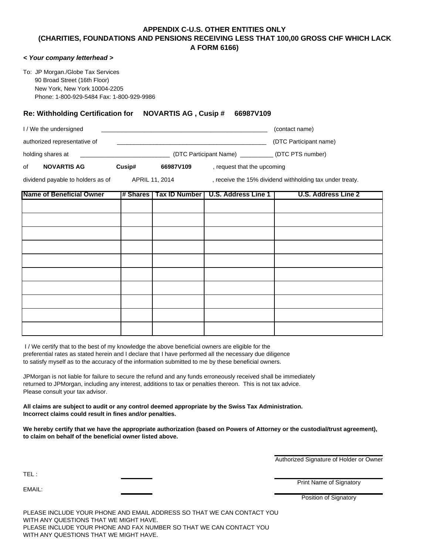#### **APPENDIX C-U.S. OTHER ENTITIES ONLY (CHARITIES, FOUNDATIONS AND PENSIONS RECEIVING LESS THAT 100,00 GROSS CHF WHICH LACK A FORM 6166)**

#### *< Your company letterhead >*

To: JP Morgan./Globe Tax Services 90 Broad Street (16th Floor) New York, New York 10004-2205 Phone: 1-800-929-5484 Fax: 1-800-929-9986

#### **Re: Withholding Certification for NOVARTIS AG , Cusip # 66987V109**

| I / We the undersigned       |                        | (contact name)         |
|------------------------------|------------------------|------------------------|
| authorized representative of |                        | (DTC Participant name) |
| holding shares at            | (DTC Participant Name) | (DTC PTS number)       |

of **NOVARTIS AG Cusip# 66987V109** , request that the upcoming

dividend payable to holders as of **APRIL 11, 2014** , receive the 15% dividend withholding tax under treaty.

| <b>Name of Beneficial Owner</b> |  | # Shares   Tax ID Number   U.S. Address Line 1 | U.S. Address Line 2 |
|---------------------------------|--|------------------------------------------------|---------------------|
|                                 |  |                                                |                     |
|                                 |  |                                                |                     |
|                                 |  |                                                |                     |
|                                 |  |                                                |                     |
|                                 |  |                                                |                     |
|                                 |  |                                                |                     |
|                                 |  |                                                |                     |
|                                 |  |                                                |                     |
|                                 |  |                                                |                     |
|                                 |  |                                                |                     |

 I / We certify that to the best of my knowledge the above beneficial owners are eligible for the preferential rates as stated herein and I declare that I have performed all the necessary due diligence to satisfy myself as to the accuracy of the information submitted to me by these beneficial owners.

JPMorgan is not liable for failure to secure the refund and any funds erroneously received shall be immediately returned to JPMorgan, including any interest, additions to tax or penalties thereon. This is not tax advice. Please consult your tax advisor.

**All claims are subject to audit or any control deemed appropriate by the Swiss Tax Administration. Incorrect claims could result in fines and/or penalties.**

**We hereby certify that we have the appropriate authorization (based on Powers of Attorney or the custodial/trust agreement), to claim on behalf of the beneficial owner listed above.**

Authorized Signature of Holder or Owner

TEL :

EMAIL:

Print Name of Signatory

Position of Signatory

PLEASE INCLUDE YOUR PHONE AND EMAIL ADDRESS SO THAT WE CAN CONTACT YOU WITH ANY QUESTIONS THAT WE MIGHT HAVE. PLEASE INCLUDE YOUR PHONE AND FAX NUMBER SO THAT WE CAN CONTACT YOU WITH ANY QUESTIONS THAT WE MIGHT HAVE.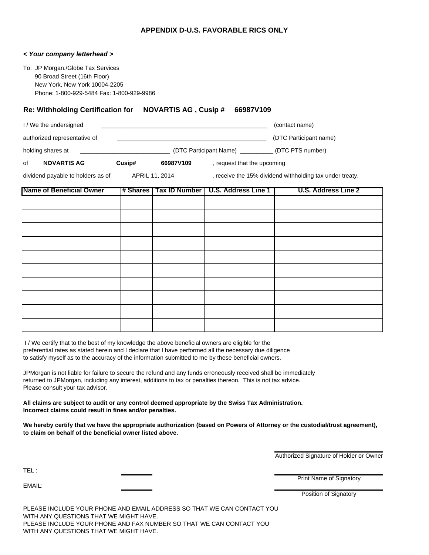#### **APPENDIX D-U.S. FAVORABLE RICS ONLY**

#### *< Your company letterhead >*

To: JP Morgan./Globe Tax Services 90 Broad Street (16th Floor) New York, New York 10004-2205 Phone: 1-800-929-5484 Fax: 1-800-929-9986

#### **Re: Withholding Certification for NOVARTIS AG , Cusip # 66987V109**

|    | I/We the undersigned         |        |                        |                             | (contact name)         |
|----|------------------------------|--------|------------------------|-----------------------------|------------------------|
|    | authorized representative of |        |                        |                             | (DTC Participant name) |
|    | holding shares at            |        | (DTC Participant Name) |                             | (DTC PTS number)       |
| of | <b>NOVARTIS AG</b>           | Cusip# | 66987V109              | , request that the upcoming |                        |

dividend payable to holders as of **APRIL 11, 2014**, receive the 15% dividend withholding tax under treaty.

| <b>Name of Beneficial Owner</b> |  | # Shares   Tax ID Number   U.S. Address Line 1 | U.S. Address Line 2 |
|---------------------------------|--|------------------------------------------------|---------------------|
|                                 |  |                                                |                     |
|                                 |  |                                                |                     |
|                                 |  |                                                |                     |
|                                 |  |                                                |                     |
|                                 |  |                                                |                     |
|                                 |  |                                                |                     |
|                                 |  |                                                |                     |
|                                 |  |                                                |                     |
|                                 |  |                                                |                     |
|                                 |  |                                                |                     |

 I / We certify that to the best of my knowledge the above beneficial owners are eligible for the preferential rates as stated herein and I declare that I have performed all the necessary due diligence to satisfy myself as to the accuracy of the information submitted to me by these beneficial owners.

JPMorgan is not liable for failure to secure the refund and any funds erroneously received shall be immediately returned to JPMorgan, including any interest, additions to tax or penalties thereon. This is not tax advice. Please consult your tax advisor.

**All claims are subject to audit or any control deemed appropriate by the Swiss Tax Administration. Incorrect claims could result in fines and/or penalties.**

**We hereby certify that we have the appropriate authorization (based on Powers of Attorney or the custodial/trust agreement), to claim on behalf of the beneficial owner listed above.**

TEL :

EMAIL:

Print Name of Signatory

Authorized Signature of Holder or Owner

Position of Signatory

PLEASE INCLUDE YOUR PHONE AND EMAIL ADDRESS SO THAT WE CAN CONTACT YOU WITH ANY QUESTIONS THAT WE MIGHT HAVE. PLEASE INCLUDE YOUR PHONE AND FAX NUMBER SO THAT WE CAN CONTACT YOU WITH ANY QUESTIONS THAT WE MIGHT HAVE.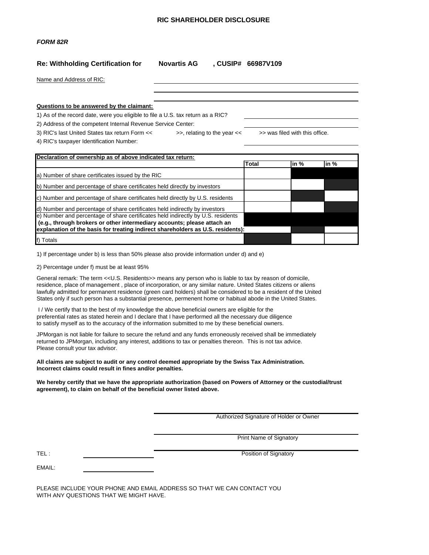#### **RIC SHAREHOLDER DISCLOSURE**

#### *FORM 82R*

#### **Re: Withholding Certification for Novartis AG , CUSIP# 66987V109**

|  | Name and Address of RIC: |  |
|--|--------------------------|--|
|  |                          |  |

#### **Questions to be answered by the claimant:**

1) As of the record date, were you eligible to file a U.S. tax return as a RIC?

2) Address of the competent Internal Revenue Service Center:

3) RIC's last United States tax return Form << >>, relating to the year << >> was filed with this office.

4) RIC's taxpayer Identification Number:

| Declaration of ownership as of above indicated tax return:                       |       |                           |          |  |
|----------------------------------------------------------------------------------|-------|---------------------------|----------|--|
|                                                                                  | Total | $\mathsf{in} \mathcal{A}$ | $\ln \%$ |  |
| a) Number of share certificates issued by the RIC                                |       |                           |          |  |
| b) Number and percentage of share certificates held directly by investors        |       |                           |          |  |
| c) Number and percentage of share certificates held directly by U.S. residents   |       |                           |          |  |
| d) Number and percentage of share certificates held indirectly by investors      |       |                           |          |  |
| e) Number and percentage of share certificates held indirectly by U.S. residents |       |                           |          |  |
| (e.g., through brokers or other intermediary accounts; please attach an          |       |                           |          |  |
| explanation of the basis for treating indirect shareholders as U.S. residents):  |       |                           |          |  |
| f) Totals                                                                        |       |                           |          |  |

1) If percentage under b) is less than 50% please also provide information under d) and e)

2) Percentage under f) must be at least 95%

General remark: The term << U.S. Residents>> means any person who is liable to tax by reason of domicile, residence, place of management , place of incorporation, or any similar nature. United States citizens or aliens lawfully admitted for permanent residence (green card holders) shall be considered to be a resident of the United States only if such person has a substantial presence, permenent home or habitual abode in the United States.

I / We certify that to the best of my knowledge the above beneficial owners are eligible for the preferential rates as stated herein and I declare that I have performed all the necessary due diligence to satisfy myself as to the accuracy of the information submitted to me by these beneficial owners.

JPMorgan is not liable for failure to secure the refund and any funds erroneously received shall be immediately returned to JPMorgan, including any interest, additions to tax or penalties thereon. This is not tax advice. Please consult your tax advisor.

#### **All claims are subject to audit or any control deemed appropriate by the Swiss Tax Administration. Incorrect claims could result in fines and/or penalties.**

#### **We hereby certify that we have the appropriate authorization (based on Powers of Attorney or the custodial/trust agreement), to claim on behalf of the beneficial owner listed above.**

Authorized Signature of Holder or Owner

Print Name of Signatory

TEL : Position of Signatory **Properties and Contract Contract Contract Contract Contract Contract Contract Contract Contract Contract Contract Contract Contract Contract Contract Contract Contract Contract Contract Contrac** 

EMAIL: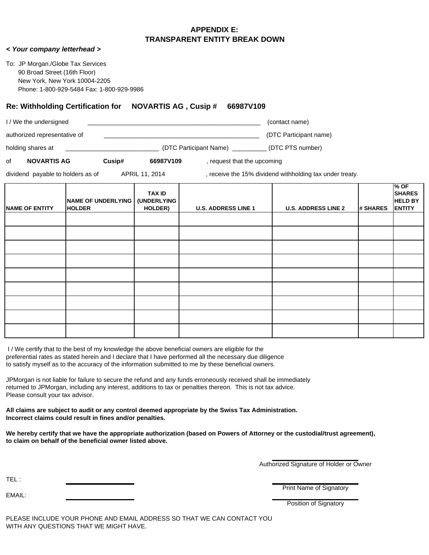#### **APPENDIX E: TRANSPARENT ENTITY BREAK DOWN**

*< Your company letterhead >*

To: JP Morgan./Globe Tax Services 90 Broad Street (16th Floor) New York, New York 10004-2205 Phone: 1-800-929-5484 Fax: 1-800-929-9986

#### **Re: Withholding Certification for NOVARTIS AG , Cusip # 66987V109**

|    | .                            |        | 1.7.7.1.1.7.2.1.1 |                           |                        |
|----|------------------------------|--------|-------------------|---------------------------|------------------------|
| of | <b>NOVARTIS AG</b>           | Cusip# | 66987V109         | request that the upcoming |                        |
|    | holding shares at            |        |                   | (DTC Participant Name)    | (DTC PTS number)       |
|    | authorized representative of |        |                   |                           | (DTC Participant name) |
|    | I/We the undersigned         |        |                   |                           | (contact name)         |

dividend payable to holders as of **APRIL 11, 2014**, receive the 15% dividend withholding tax under treaty.

| <b>NAME OF ENTITY</b> | <b>NAME OF UNDERLYING</b><br><b>HOLDER</b> | <b>TAX ID</b><br><b>(UNDERLYING</b><br>HOLDER) | <b>U.S. ADDRESS LINE 1</b> | <b>U.S. ADDRESS LINE 2</b> | # SHARES | $%$ OF<br><b>SHARES</b><br><b>HELD BY</b><br><b>ENTITY</b> |
|-----------------------|--------------------------------------------|------------------------------------------------|----------------------------|----------------------------|----------|------------------------------------------------------------|
|                       |                                            |                                                |                            |                            |          |                                                            |
|                       |                                            |                                                |                            |                            |          |                                                            |
|                       |                                            |                                                |                            |                            |          |                                                            |
|                       |                                            |                                                |                            |                            |          |                                                            |
|                       |                                            |                                                |                            |                            |          |                                                            |
|                       |                                            |                                                |                            |                            |          |                                                            |
|                       |                                            |                                                |                            |                            |          |                                                            |
|                       |                                            |                                                |                            |                            |          |                                                            |
|                       |                                            |                                                |                            |                            |          |                                                            |

 I / We certify that to the best of my knowledge the above beneficial owners are eligible for the preferential rates as stated herein and I declare that I have performed all the necessary due diligence to satisfy myself as to the accuracy of the information submitted to me by these beneficial owners.

JPMorgan is not liable for failure to secure the refund and any funds erroneously received shall be immediately returned to JPMorgan, including any interest, additions to tax or penalties thereon. This is not tax advice. Please consult your tax advisor.

**All claims are subject to audit or any control deemed appropriate by the Swiss Tax Administration. Incorrect claims could result in fines and/or penalties.**

**We hereby certify that we have the appropriate authorization (based on Powers of Attorney or the custodial/trust agreement), to claim on behalf of the beneficial owner listed above.**

Authorized Signature of Holder or Owner

TEL :

EMAIL:

Print Name of Signatory

Position of Signatory